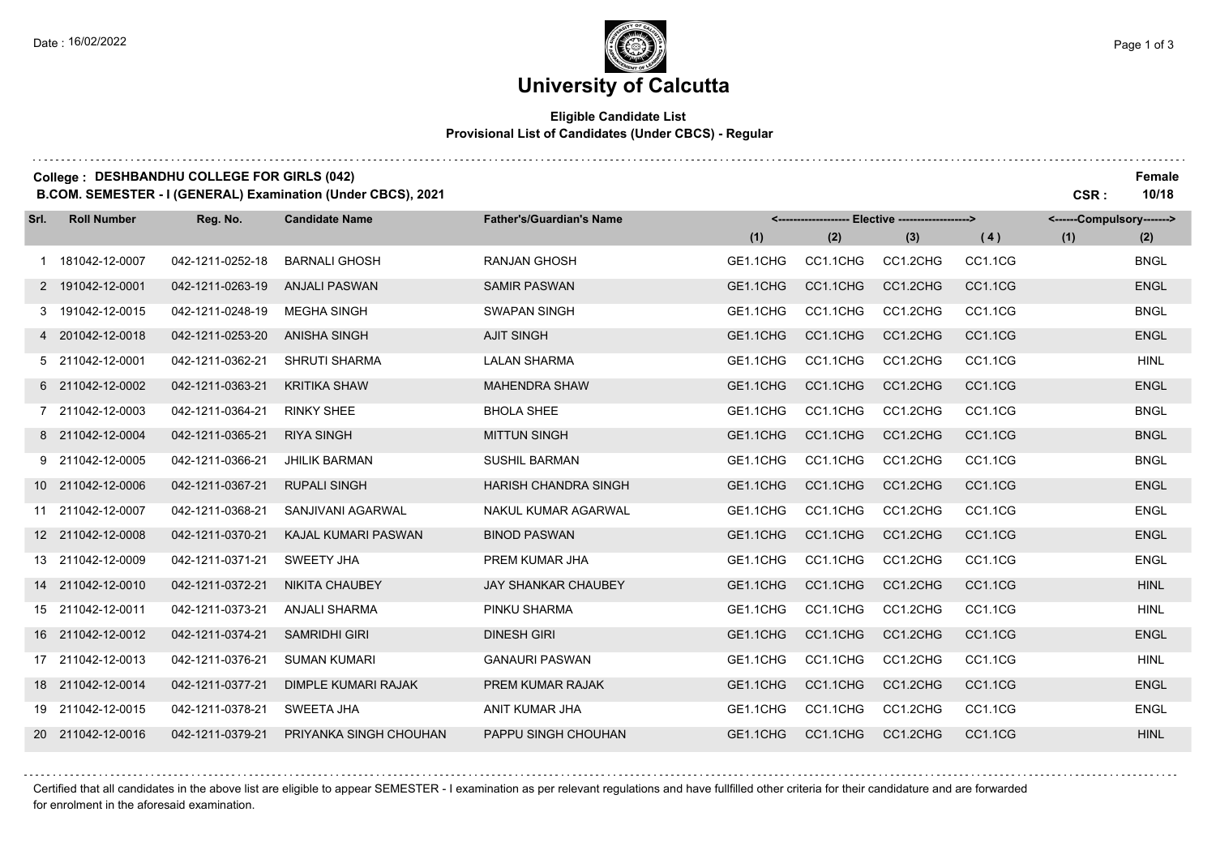### **University of Calcutta**

#### **Eligible Candidate List Provisional List of Candidates (Under CBCS) - Regular**

| College : DESHBANDHU COLLEGE FOR GIRLS (042)                 |      | Female |
|--------------------------------------------------------------|------|--------|
| B.COM. SEMESTER - I (GENERAL) Examination (Under CBCS), 2021 | CSR. | 10/18  |

**Reg. No. (1) (2) (3) Srl. Roll Number Candidate Name Father's/Guardian's Name <------------------- Elective -------------------> (1) (2) <------Compulsory-------> ( 4 )** 181042-12-0007 042-1211-0252-18 BARNALI GHOSH RANJAN GHOSH GE1.1CHG CC1.1CHG CC1.2CHG CC1.1CG BNGL 191042-12-0001 042-1211-0263-19 ANJALI PASWAN SAMIR PASWAN GE1.1CHG CC1.1CHG CC1.2CHG CC1.1CG ENGL 191042-12-0015 042-1211-0248-19 MEGHA SINGH SWAPAN SINGH GE1.1CHG CC1.1CHG CC1.2CHG CC1.1CG BNGL 201042-12-0018 042-1211-0253-20 ANISHA SINGH AJIT SINGH GE1.1CHG CC1.1CHG CC1.2CHG CC1.1CG ENGL 211042-12-0001 042-1211-0362-21 SHRUTI SHARMA LALAN SHARMA GE1.1CHG CC1.1CHG CC1.2CHG CC1.1CG HINL 211042-12-0002 042-1211-0363-21 KRITIKA SHAW MAHENDRA SHAW GE1.1CHG CC1.1CHG CC1.2CHG CC1.1CG ENGL 211042-12-0003 042-1211-0364-21 RINKY SHEE BHOLA SHEE GE1.1CHG CC1.1CHG CC1.2CHG CC1.1CG BNGL 211042-12-0004 042-1211-0365-21 RIYA SINGH MITTUN SINGH GE1.1CHG CC1.1CHG CC1.2CHG CC1.1CG BNGL 211042-12-0005 042-1211-0366-21 JHILIK BARMAN SUSHIL BARMAN GE1.1CHG CC1.1CHG CC1.2CHG CC1.1CG BNGL 211042-12-0006 042-1211-0367-21 RUPALI SINGH HARISH CHANDRA SINGH GE1.1CHG CC1.1CHG CC1.2CHG CC1.1CG ENGL 211042-12-0007 042-1211-0368-21 SANJIVANI AGARWAL NAKUL KUMAR AGARWAL GE1.1CHG CC1.1CHG CC1.2CHG CC1.1CG ENGL 211042-12-0008 042-1211-0370-21 KAJAL KUMARI PASWAN BINOD PASWAN GE1.1CHG CC1.1CHG CC1.2CHG CC1.1CG ENGL 211042-12-0009 042-1211-0371-21 SWEETY JHA PREM KUMAR JHA GE1.1CHG CC1.1CHG CC1.2CHG CC1.1CG ENGL 211042-12-0010 042-1211-0372-21 NIKITA CHAUBEY JAY SHANKAR CHAUBEY GE1.1CHG CC1.1CHG CC1.2CHG CC1.1CG HINL 211042-12-0011 042-1211-0373-21 ANJALI SHARMA PINKU SHARMA GE1.1CHG CC1.1CHG CC1.2CHG CC1.1CG HINL 211042-12-0012 042-1211-0374-21 SAMRIDHI GIRI DINESH GIRI GE1.1CHG CC1.1CHG CC1.2CHG CC1.1CG ENGL 211042-12-0013 042-1211-0376-21 SUMAN KUMARI GANAURI PASWAN GE1.1CHG CC1.1CHG CC1.2CHG CC1.1CG HINL 211042-12-0014 042-1211-0377-21 DIMPLE KUMARI RAJAK PREM KUMAR RAJAK GE1.1CHG CC1.1CHG CC1.2CHG CC1.1CG ENGL 211042-12-0015 042-1211-0378-21 SWEETA JHA ANIT KUMAR JHA GE1.1CHG CC1.1CHG CC1.2CHG CC1.1CG ENGL 211042-12-0016 042-1211-0379-21 PRIYANKA SINGH CHOUHAN PAPPU SINGH CHOUHAN GE1.1CHG CC1.1CHG CC1.2CHG CC1.1CG HINL

Certified that all candidates in the above list are eligible to appear SEMESTER - I examination as per relevant regulations and have fullfilled other criteria for their candidature and are forwarded for enrolment in the aforesaid examination.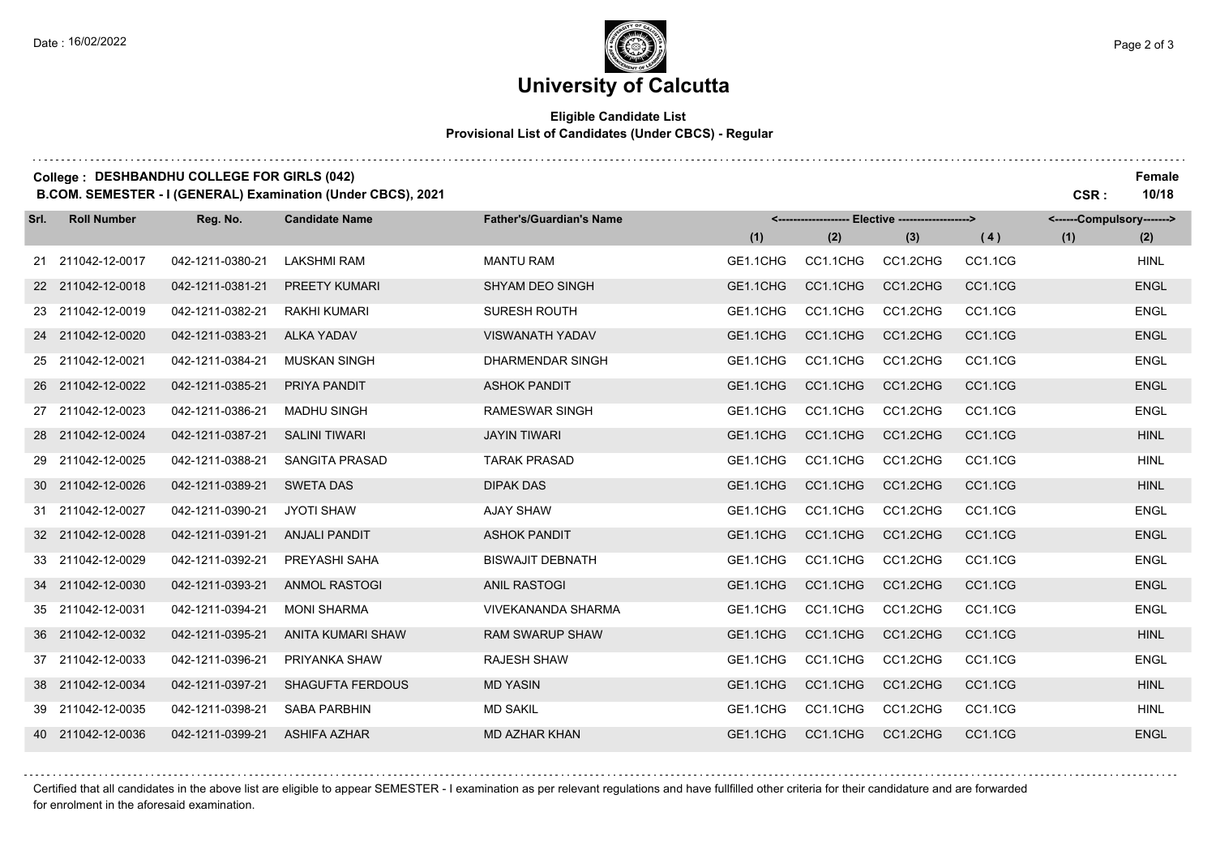## **University of Calcutta**

#### **Eligible Candidate List Provisional List of Candidates (Under CBCS) - Regular**

### **College : DESHBANDHU COLLEGE FOR GIRLS (042) Female**

**B.COM. SEMESTER - I (GENERAL) Examination (Under CBCS), 2021 CSR : 10/18**

| Srl. | <b>Roll Number</b> | Reg. No.         | <b>Candidate Name</b>   | <b>Father's/Guardian's Name</b> | <------------------- Elective ------------------> |          |          |         | <------Compulsory-------> |             |  |
|------|--------------------|------------------|-------------------------|---------------------------------|---------------------------------------------------|----------|----------|---------|---------------------------|-------------|--|
|      |                    |                  |                         |                                 | (1)                                               | (2)      | (3)      | (4)     | (1)                       | (2)         |  |
|      | 21 211042-12-0017  | 042-1211-0380-21 | <b>LAKSHMI RAM</b>      | <b>MANTU RAM</b>                | GE1.1CHG                                          | CC1.1CHG | CC1.2CHG | CC1.1CG |                           | <b>HINL</b> |  |
|      | 22 211042-12-0018  | 042-1211-0381-21 | PREETY KUMARI           | <b>SHYAM DEO SINGH</b>          | GE1.1CHG                                          | CC1.1CHG | CC1.2CHG | CC1.1CG |                           | <b>ENGL</b> |  |
|      | 23 211042-12-0019  | 042-1211-0382-21 | <b>RAKHI KUMARI</b>     | <b>SURESH ROUTH</b>             | GE1.1CHG                                          | CC1.1CHG | CC1.2CHG | CC1.1CG |                           | <b>ENGL</b> |  |
|      | 24 211042-12-0020  | 042-1211-0383-21 | <b>ALKA YADAV</b>       | <b>VISWANATH YADAV</b>          | GE1.1CHG                                          | CC1.1CHG | CC1.2CHG | CC1.1CG |                           | <b>ENGL</b> |  |
|      | 25 211042-12-0021  | 042-1211-0384-21 | <b>MUSKAN SINGH</b>     | <b>DHARMENDAR SINGH</b>         | GE1.1CHG                                          | CC1.1CHG | CC1.2CHG | CC1.1CG |                           | <b>ENGL</b> |  |
|      | 26 211042-12-0022  | 042-1211-0385-21 | PRIYA PANDIT            | <b>ASHOK PANDIT</b>             | GE1.1CHG                                          | CC1.1CHG | CC1.2CHG | CC1.1CG |                           | <b>ENGL</b> |  |
|      | 27 211042-12-0023  | 042-1211-0386-21 | <b>MADHU SINGH</b>      | <b>RAMESWAR SINGH</b>           | GE1.1CHG                                          | CC1.1CHG | CC1.2CHG | CC1.1CG |                           | <b>ENGL</b> |  |
|      | 28 211042-12-0024  | 042-1211-0387-21 | <b>SALINI TIWARI</b>    | <b>JAYIN TIWARI</b>             | GE1.1CHG                                          | CC1.1CHG | CC1.2CHG | CC1.1CG |                           | <b>HINL</b> |  |
|      | 29 211042-12-0025  | 042-1211-0388-21 | <b>SANGITA PRASAD</b>   | <b>TARAK PRASAD</b>             | GE1.1CHG                                          | CC1.1CHG | CC1.2CHG | CC1.1CG |                           | <b>HINL</b> |  |
|      | 30 211042-12-0026  | 042-1211-0389-21 | <b>SWETA DAS</b>        | <b>DIPAK DAS</b>                | GE1.1CHG                                          | CC1.1CHG | CC1.2CHG | CC1.1CG |                           | <b>HINL</b> |  |
|      | 31 211042-12-0027  | 042-1211-0390-21 | <b>JYOTI SHAW</b>       | <b>AJAY SHAW</b>                | GE1.1CHG                                          | CC1.1CHG | CC1.2CHG | CC1.1CG |                           | <b>ENGL</b> |  |
|      | 32 211042-12-0028  | 042-1211-0391-21 | <b>ANJALI PANDIT</b>    | <b>ASHOK PANDIT</b>             | GE1.1CHG                                          | CC1.1CHG | CC1.2CHG | CC1.1CG |                           | <b>ENGL</b> |  |
|      | 33 211042-12-0029  | 042-1211-0392-21 | PREYASHI SAHA           | <b>BISWAJIT DEBNATH</b>         | GE1.1CHG                                          | CC1.1CHG | CC1.2CHG | CC1.1CG |                           | <b>ENGL</b> |  |
|      | 34 211042-12-0030  | 042-1211-0393-21 | <b>ANMOL RASTOGI</b>    | <b>ANIL RASTOGI</b>             | GE1.1CHG                                          | CC1.1CHG | CC1.2CHG | CC1.1CG |                           | <b>ENGL</b> |  |
|      | 35 211042-12-0031  | 042-1211-0394-21 | <b>MONI SHARMA</b>      | <b>VIVEKANANDA SHARMA</b>       | GE1.1CHG                                          | CC1.1CHG | CC1.2CHG | CC1.1CG |                           | <b>ENGL</b> |  |
|      | 36 211042-12-0032  | 042-1211-0395-21 | ANITA KUMARI SHAW       | <b>RAM SWARUP SHAW</b>          | GE1.1CHG                                          | CC1.1CHG | CC1.2CHG | CC1.1CG |                           | <b>HINL</b> |  |
|      | 37 211042-12-0033  | 042-1211-0396-21 | PRIYANKA SHAW           | <b>RAJESH SHAW</b>              | GE1.1CHG                                          | CC1.1CHG | CC1.2CHG | CC1.1CG |                           | <b>ENGL</b> |  |
|      | 38 211042-12-0034  | 042-1211-0397-21 | <b>SHAGUFTA FERDOUS</b> | <b>MD YASIN</b>                 | GE1.1CHG                                          | CC1.1CHG | CC1.2CHG | CC1.1CG |                           | <b>HINL</b> |  |
|      | 39 211042-12-0035  | 042-1211-0398-21 | <b>SABA PARBHIN</b>     | <b>MD SAKIL</b>                 | GE1.1CHG                                          | CC1.1CHG | CC1.2CHG | CC1.1CG |                           | <b>HINL</b> |  |
|      | 40 211042-12-0036  | 042-1211-0399-21 | <b>ASHIFA AZHAR</b>     | <b>MD AZHAR KHAN</b>            | GE1.1CHG                                          | CC1.1CHG | CC1.2CHG | CC1.1CG |                           | <b>ENGL</b> |  |

Certified that all candidates in the above list are eligible to appear SEMESTER - I examination as per relevant regulations and have fullfilled other criteria for their candidature and are forwarded for enrolment in the aforesaid examination.